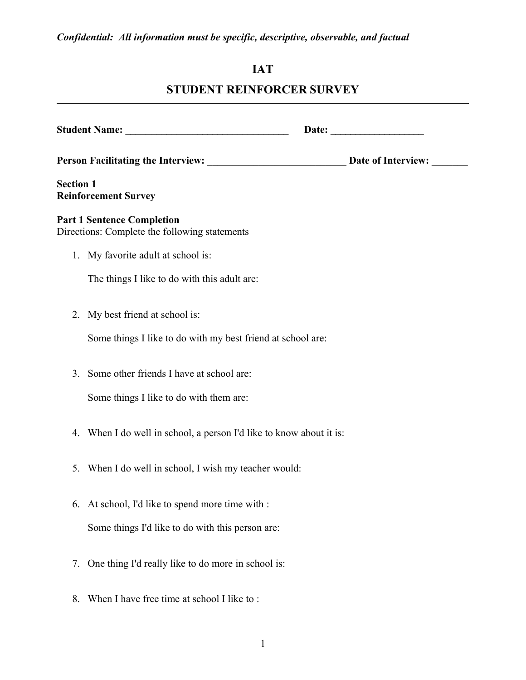# **IAT**

# **STUDENT REINFORCER SURVEY**

| <b>Section 1</b> | <b>Reinforcement Survey</b>                                                        |  |  |  |  |
|------------------|------------------------------------------------------------------------------------|--|--|--|--|
|                  | <b>Part 1 Sentence Completion</b><br>Directions: Complete the following statements |  |  |  |  |
|                  | 1. My favorite adult at school is:                                                 |  |  |  |  |
|                  | The things I like to do with this adult are:                                       |  |  |  |  |
| 2.               | My best friend at school is:                                                       |  |  |  |  |
|                  | Some things I like to do with my best friend at school are:                        |  |  |  |  |
| 3.               | Some other friends I have at school are:                                           |  |  |  |  |
|                  | Some things I like to do with them are:                                            |  |  |  |  |
| 4.               | When I do well in school, a person I'd like to know about it is:                   |  |  |  |  |
| 5.               | When I do well in school, I wish my teacher would:                                 |  |  |  |  |
|                  | 6. At school, I'd like to spend more time with :                                   |  |  |  |  |
|                  | Some things I'd like to do with this person are:                                   |  |  |  |  |
| 7.               | One thing I'd really like to do more in school is:                                 |  |  |  |  |
| 8.               | When I have free time at school I like to:                                         |  |  |  |  |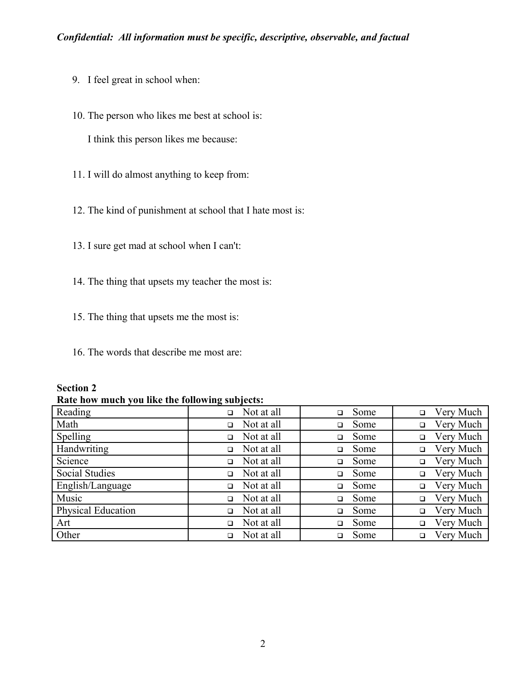- 9. I feel great in school when:
- 10. The person who likes me best at school is: I think this person likes me because:
- 11. I will do almost anything to keep from:
- 12. The kind of punishment at school that I hate most is:
- 13. I sure get mad at school when I can't:
- 14. The thing that upsets my teacher the most is:
- 15. The thing that upsets me the most is:
- 16. The words that describe me most are:

| <b>Section 2</b> |  |
|------------------|--|
|------------------|--|

**Rate how much you like the following subjects:**

| Reading               | Not at all           | Some           | Very Much |
|-----------------------|----------------------|----------------|-----------|
|                       | $\Box$               | $\Box$         | $\Box$    |
| Math                  | Not at all           | Some           | Very Much |
|                       | $\Box$               | $\Box$         | $\Box$    |
| Spelling              | Not at all           | Some           | Very Much |
|                       | $\Box$               | $\Box$         | $\Box$    |
| Handwriting           | Not at all           | Some           | Very Much |
|                       | □                    | □              | $\Box$    |
| Science               | Not at all           | Some           | Very Much |
|                       | □                    | $\Box$         | $\Box$    |
| <b>Social Studies</b> | Not at all           | Some           | Very Much |
|                       | $\Box$               | ◻              | $\Box$    |
| English/Language      | Not at all           | Some           | Very Much |
|                       | $\Box$               | $\Box$         | $\Box$    |
| Music                 | Not at all           | Some           | Very Much |
|                       | $\Box$               | $\Box$         | $\Box$    |
| Physical Education    | Not at all           | Some           | Very Much |
|                       | $\Box$               | $\Box$         | $\Box$    |
| Art                   | Not at all<br>$\Box$ | Some<br>$\Box$ | Very Much |
| Other                 | Not at all<br>□      | Some           | Very Much |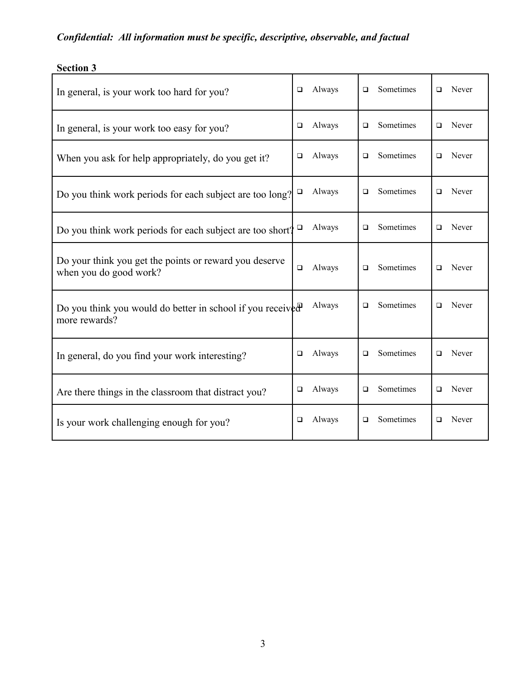| In general, is your work too hard for you?                                       |        | Always | $\Box$ | Sometimes | □      | Never |
|----------------------------------------------------------------------------------|--------|--------|--------|-----------|--------|-------|
| In general, is your work too easy for you?                                       | □      | Always | $\Box$ | Sometimes | $\Box$ | Never |
| When you ask for help appropriately, do you get it?                              | $\Box$ | Always | □      | Sometimes | □      | Never |
| Do you think work periods for each subject are too long?                         | $\Box$ | Always | $\Box$ | Sometimes | □      | Never |
| Do you think work periods for each subject are too short?                        | $\Box$ | Always | $\Box$ | Sometimes | □      | Never |
| Do your think you get the points or reward you deserve<br>when you do good work? | $\Box$ | Always | $\Box$ | Sometimes | □      | Never |
| Do you think you would do better in school if you received<br>more rewards?      |        | Always | $\Box$ | Sometimes | $\Box$ | Never |
| In general, do you find your work interesting?                                   | □      | Always | $\Box$ | Sometimes | □      | Never |
| Are there things in the classroom that distract you?                             | $\Box$ | Always | □      | Sometimes | □      | Never |
| Is your work challenging enough for you?                                         | □      | Always | $\Box$ | Sometimes | □      | Never |

# **Section 3**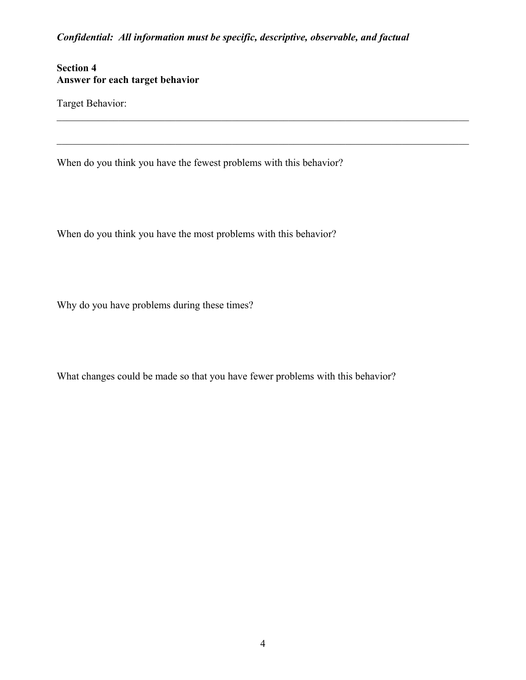$\mathcal{L}_\mathcal{L} = \{ \mathcal{L}_\mathcal{L} = \{ \mathcal{L}_\mathcal{L} = \{ \mathcal{L}_\mathcal{L} = \{ \mathcal{L}_\mathcal{L} = \{ \mathcal{L}_\mathcal{L} = \{ \mathcal{L}_\mathcal{L} = \{ \mathcal{L}_\mathcal{L} = \{ \mathcal{L}_\mathcal{L} = \{ \mathcal{L}_\mathcal{L} = \{ \mathcal{L}_\mathcal{L} = \{ \mathcal{L}_\mathcal{L} = \{ \mathcal{L}_\mathcal{L} = \{ \mathcal{L}_\mathcal{L} = \{ \mathcal{L}_\mathcal{$ 

 $\mathcal{L}_\mathcal{L} = \{ \mathcal{L}_\mathcal{L} = \{ \mathcal{L}_\mathcal{L} = \{ \mathcal{L}_\mathcal{L} = \{ \mathcal{L}_\mathcal{L} = \{ \mathcal{L}_\mathcal{L} = \{ \mathcal{L}_\mathcal{L} = \{ \mathcal{L}_\mathcal{L} = \{ \mathcal{L}_\mathcal{L} = \{ \mathcal{L}_\mathcal{L} = \{ \mathcal{L}_\mathcal{L} = \{ \mathcal{L}_\mathcal{L} = \{ \mathcal{L}_\mathcal{L} = \{ \mathcal{L}_\mathcal{L} = \{ \mathcal{L}_\mathcal{$ 

### **Section 4 Answer for each target behavior**

Target Behavior:

When do you think you have the fewest problems with this behavior?

When do you think you have the most problems with this behavior?

Why do you have problems during these times?

What changes could be made so that you have fewer problems with this behavior?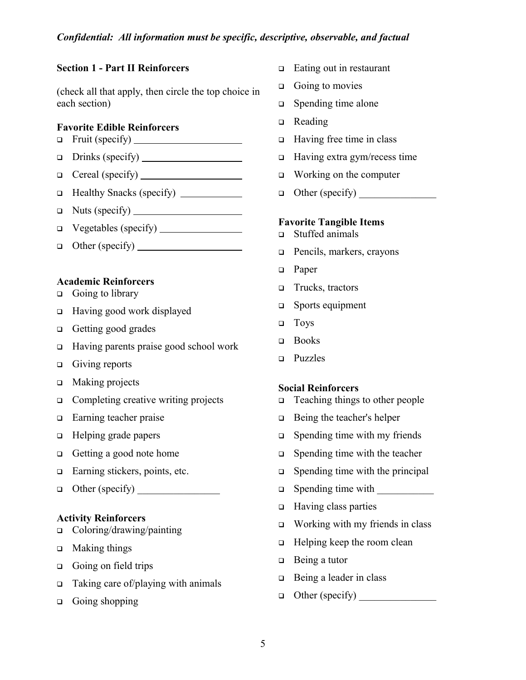### **Section 1 - Part II Reinforcers**

(check all that apply, then circle the top choice in each section)

#### **Favorite Edible Reinforcers**

- Fruit (specify)
- $\Box$  Drinks (specify)
- $\Box$  Cereal (specify)  $\Box$
- Healthy Snacks (specify)
- Nuts (specify)
- Vegetables (specify)
- $\Box$  Other (specify)  $\Box$

#### **Academic Reinforcers**

- $\Box$  Going to library
- Having good work displayed
- □ Getting good grades
- Having parents praise good school work
- $\Box$  Giving reports
- □ Making projects
- □ Completing creative writing projects
- □ Earning teacher praise
- □ Helping grade papers
- Getting a good note home
- □ Earning stickers, points, etc.
- $\Box$  Other (specify)  $\Box$

#### **Activity Reinforcers**

- Coloring/drawing/painting
- **D** Making things
- Going on field trips
- $\Box$  Taking care of/playing with animals
- $\Box$  Going shopping
- $\Box$  Eating out in restaurant
- $\Box$  Going to movies
- $\Box$  Spending time alone
- □ Reading
- $\Box$  Having free time in class
- $\Box$  Having extra gym/recess time
- $\Box$  Working on the computer
- $\Box$  Other (specify)

#### **Favorite Tangible Items**

- Stuffed animals
- □ Pencils, markers, crayons
- **D** Paper
- □ Trucks, tractors
- □ Sports equipment
- **D** Toys
- **D** Books
- **D** Puzzles

#### **Social Reinforcers**

- □ Teaching things to other people
- $\Box$  Being the teacher's helper
- $\Box$  Spending time with my friends
- $\Box$  Spending time with the teacher
- $\Box$  Spending time with the principal
- $\Box$  Spending time with
- $\Box$  Having class parties
- $\Box$  Working with my friends in class
- $\Box$  Helping keep the room clean
- □ Being a tutor
- $\Box$  Being a leader in class
- $\Box$  Other (specify)